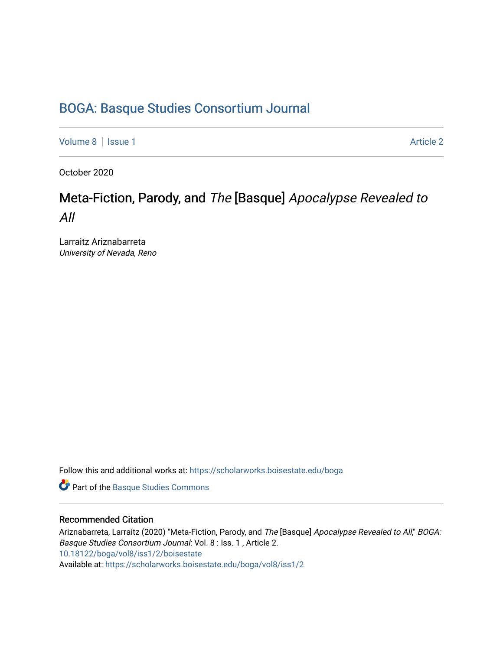### [BOGA: Basque Studies Consortium Journal](https://scholarworks.boisestate.edu/boga)

[Volume 8](https://scholarworks.boisestate.edu/boga/vol8) | [Issue 1](https://scholarworks.boisestate.edu/boga/vol8/iss1) Article 2

October 2020

## Meta-Fiction, Parody, and The [Basque] Apocalypse Revealed to All

Larraitz Ariznabarreta University of Nevada, Reno

Follow this and additional works at: [https://scholarworks.boisestate.edu/boga](https://scholarworks.boisestate.edu/boga?utm_source=scholarworks.boisestate.edu%2Fboga%2Fvol8%2Fiss1%2F2&utm_medium=PDF&utm_campaign=PDFCoverPages) 

Part of the [Basque Studies Commons](http://network.bepress.com/hgg/discipline/1244?utm_source=scholarworks.boisestate.edu%2Fboga%2Fvol8%2Fiss1%2F2&utm_medium=PDF&utm_campaign=PDFCoverPages) 

#### Recommended Citation

Ariznabarreta, Larraitz (2020) "Meta-Fiction, Parody, and The [Basque] Apocalypse Revealed to All," BOGA: Basque Studies Consortium Journal: Vol. 8 : Iss. 1 , Article 2. <10.18122/boga/vol8/iss1/2/boisestate> Available at: [https://scholarworks.boisestate.edu/boga/vol8/iss1/2](https://scholarworks.boisestate.edu/boga/vol8/iss1/2?utm_source=scholarworks.boisestate.edu%2Fboga%2Fvol8%2Fiss1%2F2&utm_medium=PDF&utm_campaign=PDFCoverPages)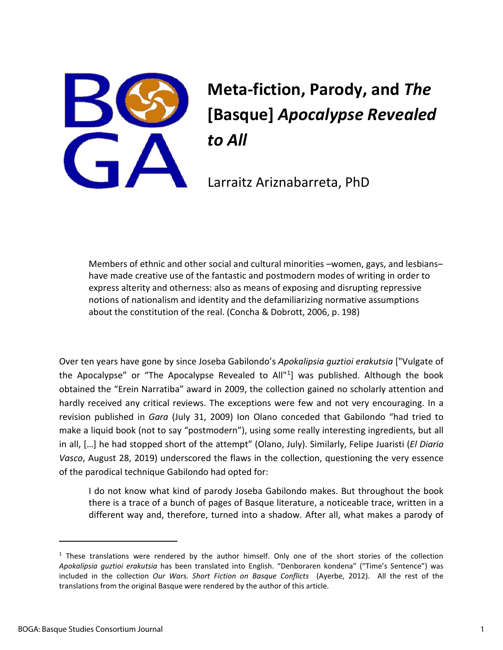

# **Meta-fiction, Parody, and** *The* **[Basque]** *Apocalypse Revealed to All*

Larraitz Ariznabarreta, PhD

Members of ethnic and other social and cultural minorities –women, gays, and lesbians– have made creative use of the fantastic and postmodern modes of writing in order to express alterity and otherness: also as means of exposing and disrupting repressive notions of nationalism and identity and the defamiliarizing normative assumptions about the constitution of the real. (Concha & Dobrott, 2006, p. 198)

Over ten years have gone by since Joseba Gabilondo's *Apokalipsia guztioi erakutsia* ["Vulgate of the Apocalypse" or "The Apocalypse Revealed to All"[1\]](#page-1-0) was published. Although the book obtained the "Erein Narratiba" award in 2009, the collection gained no scholarly attention and hardly received any critical reviews. The exceptions were few and not very encouraging. In a revision published in *Gara* (July 31, 2009) Ion Olano conceded that Gabilondo "had tried to make a liquid book (not to say "postmodern"), using some really interesting ingredients, but all in all, […] he had stopped short of the attempt" (Olano, July). Similarly, Felipe Juaristi (*El Diario Vasco*, August 28, 2019) underscored the flaws in the collection, questioning the very essence of the parodical technique Gabilondo had opted for:

I do not know what kind of parody Joseba Gabilondo makes. But throughout the book there is a trace of a bunch of pages of Basque literature, a noticeable trace, written in a different way and, therefore, turned into a shadow. After all, what makes a parody of

<span id="page-1-0"></span> $1$  These translations were rendered by the author himself. Only one of the short stories of the collection *Apokalipsia guztioi erakutsia* has been translated into English. "Denboraren kondena" ("Time's Sentence") was included in the collection *Our Wars. Short Fiction on Basque Conflicts* (Ayerbe, 2012). All the rest of the translations from the original Basque were rendered by the author of this article.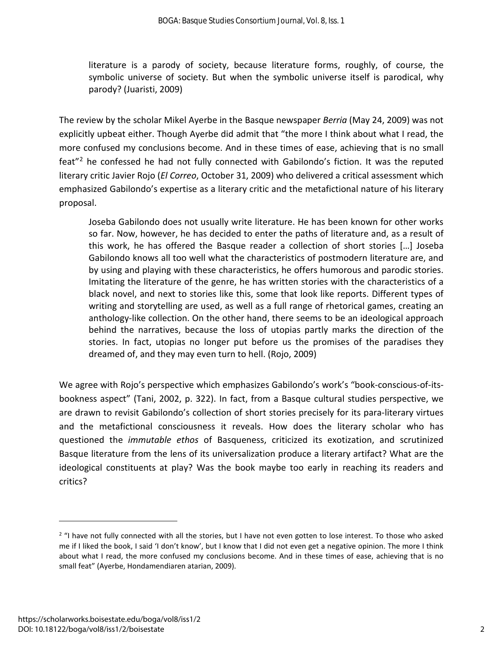literature is a parody of society, because literature forms, roughly, of course, the symbolic universe of society. But when the symbolic universe itself is parodical, why parody? (Juaristi, 2009)

The review by the scholar Mikel Ayerbe in the Basque newspaper *Berria* (May 24, 2009) was not explicitly upbeat either. Though Ayerbe did admit that "the more I think about what I read, the more confused my conclusions become. And in these times of ease, achieving that is no small feat"[2](#page-2-0) he confessed he had not fully connected with Gabilondo's fiction. It was the reputed literary critic Javier Rojo (*El Correo*, October 31, 2009) who delivered a critical assessment which emphasized Gabilondo's expertise as a literary critic and the metafictional nature of his literary proposal.

Joseba Gabilondo does not usually write literature. He has been known for other works so far. Now, however, he has decided to enter the paths of literature and, as a result of this work, he has offered the Basque reader a collection of short stories […] Joseba Gabilondo knows all too well what the characteristics of postmodern literature are, and by using and playing with these characteristics, he offers humorous and parodic stories. Imitating the literature of the genre, he has written stories with the characteristics of a black novel, and next to stories like this, some that look like reports. Different types of writing and storytelling are used, as well as a full range of rhetorical games, creating an anthology-like collection. On the other hand, there seems to be an ideological approach behind the narratives, because the loss of utopias partly marks the direction of the stories. In fact, utopias no longer put before us the promises of the paradises they dreamed of, and they may even turn to hell. (Rojo, 2009)

We agree with Rojo's perspective which emphasizes Gabilondo's work's "book-conscious-of-itsbookness aspect" (Tani, 2002, p. 322). In fact, from a Basque cultural studies perspective, we are drawn to revisit Gabilondo's collection of short stories precisely for its para-literary virtues and the metafictional consciousness it reveals. How does the literary scholar who has questioned the *immutable ethos* of Basqueness, criticized its exotization, and scrutinized Basque literature from the lens of its universalization produce a literary artifact? What are the ideological constituents at play? Was the book maybe too early in reaching its readers and critics?

<span id="page-2-0"></span><sup>&</sup>lt;sup>2</sup> "I have not fully connected with all the stories, but I have not even gotten to lose interest. To those who asked me if I liked the book, I said 'I don't know', but I know that I did not even get a negative opinion. The more I think about what I read, the more confused my conclusions become. And in these times of ease, achieving that is no small feat" (Ayerbe, Hondamendiaren atarian, 2009).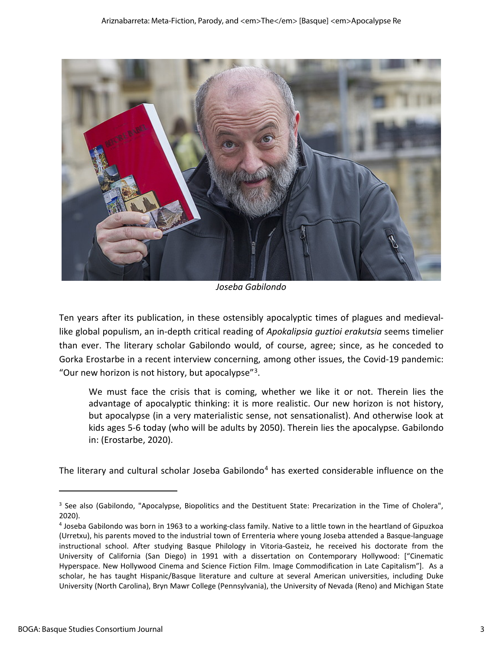

*Joseba Gabilondo*

Ten years after its publication, in these ostensibly apocalyptic times of plagues and medievallike global populism, an in-depth critical reading of *Apokalipsia guztioi erakutsia* seems timelier than ever. The literary scholar Gabilondo would, of course, agree; since, as he conceded to Gorka Erostarbe in a recent interview concerning, among other issues, the Covid-19 pandemic: "Our new horizon is not history, but apocalypse"[3.](#page-3-0)

We must face the crisis that is coming, whether we like it or not. Therein lies the advantage of apocalyptic thinking: it is more realistic. Our new horizon is not history, but apocalypse (in a very materialistic sense, not sensationalist). And otherwise look at kids ages 5-6 today (who will be adults by 2050). Therein lies the apocalypse. Gabilondo in: (Erostarbe, 2020).

The literary and cultural scholar Joseba Gabilondo<sup>[4](#page-3-1)</sup> has exerted considerable influence on the

<span id="page-3-0"></span><sup>&</sup>lt;sup>3</sup> See also (Gabilondo, "Apocalypse, Biopolitics and the Destituent State: Precarization in the Time of Cholera", 2020).<br><sup>4</sup> Joseba Gabilondo was born in 1963 to a working-class family. Native to a little town in the heartland of Gipuzkoa

<span id="page-3-1"></span><sup>(</sup>Urretxu), his parents moved to the industrial town of Errenteria where young Joseba attended a Basque-language instructional school. After studying Basque Philology in Vitoria-Gasteiz, he received his doctorate from the University of California (San Diego) in 1991 with a dissertation on Contemporary Hollywood: ["Cinematic Hyperspace. New Hollywood Cinema and Science Fiction Film. Image Commodification in Late Capitalism"]. As a scholar, he has taught Hispanic/Basque literature and culture at several American universities, including Duke University (North Carolina), Bryn Mawr College (Pennsylvania), the University of Nevada (Reno) and Michigan State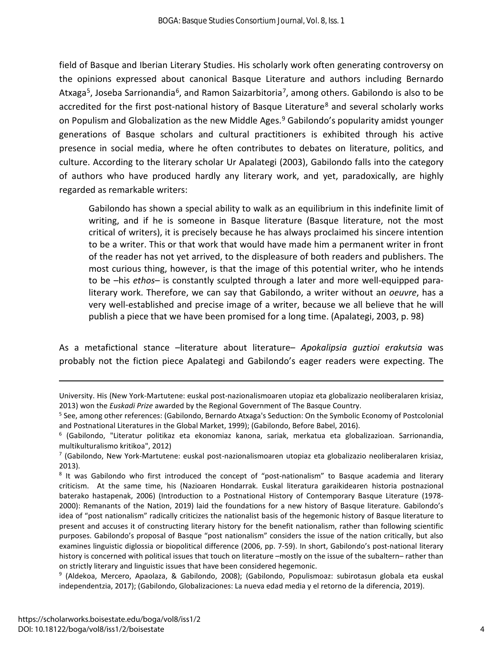field of Basque and Iberian Literary Studies. His scholarly work often generating controversy on the opinions expressed about canonical Basque Literature and authors including Bernardo Atxaga<sup>5</sup>, Joseba Sarrionandia<sup>[6](#page-4-1)</sup>, and Ramon Saizarbitoria<sup>[7](#page-4-2)</sup>, among others. Gabilondo is also to be accredited for the first post-national history of Basque Literature<sup>[8](#page-4-3)</sup> and several scholarly works on Populism and Globalization as the new Middle Ages.<sup>[9](#page-4-4)</sup> Gabilondo's popularity amidst younger generations of Basque scholars and cultural practitioners is exhibited through his active presence in social media, where he often contributes to debates on literature, politics, and culture. According to the literary scholar Ur Apalategi (2003), Gabilondo falls into the category of authors who have produced hardly any literary work, and yet, paradoxically, are highly regarded as remarkable writers:

Gabilondo has shown a special ability to walk as an equilibrium in this indefinite limit of writing, and if he is someone in Basque literature (Basque literature, not the most critical of writers), it is precisely because he has always proclaimed his sincere intention to be a writer. This or that work that would have made him a permanent writer in front of the reader has not yet arrived, to the displeasure of both readers and publishers. The most curious thing, however, is that the image of this potential writer, who he intends to be –his *ethos*– is constantly sculpted through a later and more well-equipped paraliterary work. Therefore, we can say that Gabilondo, a writer without an *oeuvre*, has a very well-established and precise image of a writer, because we all believe that he will publish a piece that we have been promised for a long time. (Apalategi, 2003, p. 98)

As a metafictional stance –literature about literature– *Apokalipsia guztioi erakutsia* was probably not the fiction piece Apalategi and Gabilondo's eager readers were expecting. The

University. His (New York-Martutene: euskal post-nazionalismoaren utopiaz eta globalizazio neoliberalaren krisiaz, 2013) won the *Euskadi Prize* awarded by the Regional Government of The Basque Country.<br><sup>5</sup> See, among other references: (Gabilondo, Bernardo Atxaga's Seduction: On the Symbolic Economy of Postcolonial

<span id="page-4-0"></span>and Postnational Literatures in the Global Market, 1999); (Gabilondo, Before Babel, 2016).<br><sup>6</sup> (Gabilondo, "Literatur politikaz eta ekonomiaz kanona, sariak, merkatua eta globalizazioan. Sarrionandia,

<span id="page-4-1"></span>multikulturalismo kritikoa", 2012)

<span id="page-4-2"></span><sup>7</sup> (Gabilondo, New York-Martutene: euskal post-nazionalismoaren utopiaz eta globalizazio neoliberalaren krisiaz, 2013).<br><sup>8</sup> It was Gabilondo who first introduced the concept of "post-nationalism" to Basque academia and literary

<span id="page-4-3"></span>criticism. At the same time, his (Nazioaren Hondarrak. Euskal literatura garaikidearen historia postnazional baterako hastapenak, 2006) (Introduction to a Postnational History of Contemporary Basque Literature (1978- 2000): Remanants of the Nation, 2019) laid the foundations for a new history of Basque literature. Gabilondo's idea of "post nationalism" radically criticizes the nationalist basis of the hegemonic history of Basque literature to present and accuses it of constructing literary history for the benefit nationalism, rather than following scientific purposes. Gabilondo's proposal of Basque "post nationalism" considers the issue of the nation critically, but also examines linguistic diglossia or biopolitical difference (2006, pp. 7-59). In short, Gabilondo's post-national literary history is concerned with political issues that touch on literature –mostly on the issue of the subaltern– rather than on strictly literary and linguistic issues that have been considered hegemonic.

<span id="page-4-4"></span><sup>9</sup> (Aldekoa, Mercero, Apaolaza, & Gabilondo, 2008); (Gabilondo, Populismoaz: subirotasun globala eta euskal independentzia, 2017); (Gabilondo, Globalizaciones: La nueva edad media y el retorno de la diferencia, 2019).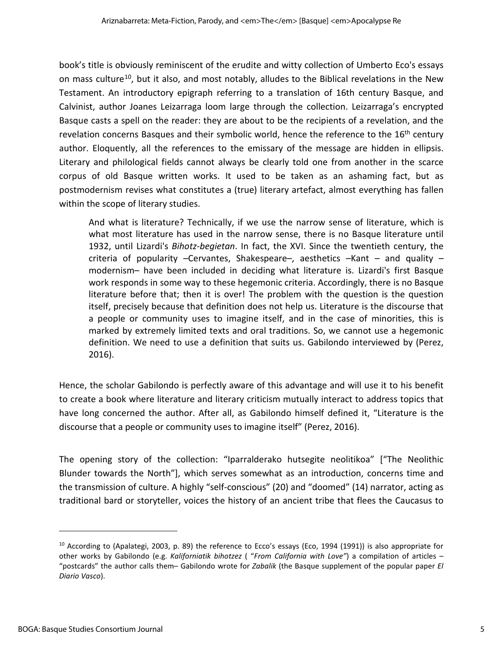book's title is obviously reminiscent of the erudite and witty collection of Umberto Eco's essays on mass culture<sup>10</sup>, but it also, and most notably, alludes to the Biblical revelations in the New Testament. An introductory epigraph referring to a translation of 16th century Basque, and Calvinist, author Joanes Leizarraga loom large through the collection. Leizarraga's encrypted Basque casts a spell on the reader: they are about to be the recipients of a revelation, and the revelation concerns Basques and their symbolic world, hence the reference to the 16<sup>th</sup> century author. Eloquently, all the references to the emissary of the message are hidden in ellipsis. Literary and philological fields cannot always be clearly told one from another in the scarce corpus of old Basque written works. It used to be taken as an ashaming fact, but as postmodernism revises what constitutes a (true) literary artefact, almost everything has fallen within the scope of literary studies.

And what is literature? Technically, if we use the narrow sense of literature, which is what most literature has used in the narrow sense, there is no Basque literature until 1932, until Lizardi's *Bihotz-begietan*. In fact, the XVI. Since the twentieth century, the criteria of popularity –Cervantes, Shakespeare–, aesthetics  $-Kant - and$  quality – modernism– have been included in deciding what literature is. Lizardi's first Basque work responds in some way to these hegemonic criteria. Accordingly, there is no Basque literature before that; then it is over! The problem with the question is the question itself, precisely because that definition does not help us. Literature is the discourse that a people or community uses to imagine itself, and in the case of minorities, this is marked by extremely limited texts and oral traditions. So, we cannot use a hegemonic definition. We need to use a definition that suits us. Gabilondo interviewed by (Perez, 2016).

Hence, the scholar Gabilondo is perfectly aware of this advantage and will use it to his benefit to create a book where literature and literary criticism mutually interact to address topics that have long concerned the author. After all, as Gabilondo himself defined it, "Literature is the discourse that a people or community uses to imagine itself" (Perez, 2016).

The opening story of the collection: "Iparralderako hutsegite neolitikoa" ["The Neolithic Blunder towards the North"], which serves somewhat as an introduction, concerns time and the transmission of culture. A highly "self-conscious" (20) and "doomed" (14) narrator, acting as traditional bard or storyteller, voices the history of an ancient tribe that flees the Caucasus to

<span id="page-5-0"></span><sup>&</sup>lt;sup>10</sup> According to (Apalategi, 2003, p. 89) the reference to Ecco's essays (Eco, 1994 (1991)) is also appropriate for other works by Gabilondo (e.g. *Kaliforniatik bihotzez* ( "*From California with Love"*) a compilation of articles – "postcards" the author calls them– Gabilondo wrote for *Zabalik* (the Basque supplement of the popular paper *El Diario Vasco*).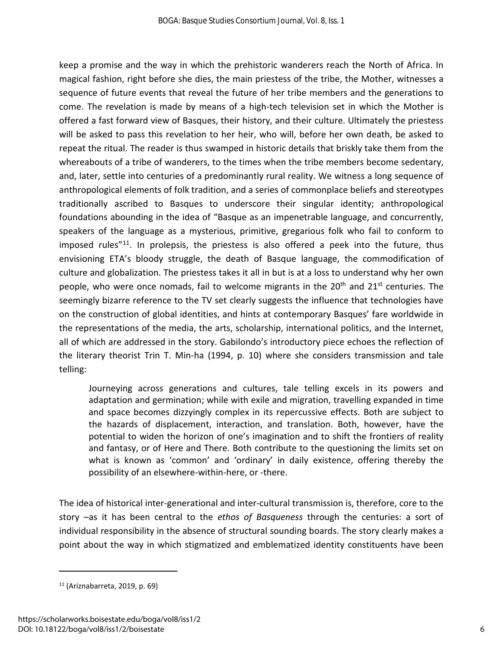keep a promise and the way in which the prehistoric wanderers reach the North of Africa. In magical fashion, right before she dies, the main priestess of the tribe, the Mother, witnesses a sequence of future events that reveal the future of her tribe members and the generations to come. The revelation is made by means of a high-tech television set in which the Mother is offered a fast forward view of Basques, their history, and their culture. Ultimately the priestess will be asked to pass this revelation to her heir, who will, before her own death, be asked to repeat the ritual. The reader is thus swamped in historic details that briskly take them from the whereabouts of a tribe of wanderers, to the times when the tribe members become sedentary, and, later, settle into centuries of a predominantly rural reality. We witness a long sequence of anthropological elements of folk tradition, and a series of commonplace beliefs and stereotypes traditionally ascribed to Basques to underscore their singular identity; anthropological foundations abounding in the idea of "Basque as an impenetrable language, and concurrently, speakers of the language as a mysterious, primitive, gregarious folk who fail to conform to imposed rules<sup> $n_{11}$ </sup>. In prolepsis, the priestess is also offered a peek into the future, thus envisioning ETA's bloody struggle, the death of Basque language, the commodification of culture and globalization. The priestess takes it all in but is at a loss to understand why her own people, who were once nomads, fail to welcome migrants in the  $20<sup>th</sup>$  and  $21<sup>st</sup>$  centuries. The seemingly bizarre reference to the TV set clearly suggests the influence that technologies have on the construction of global identities, and hints at contemporary Basques' fare worldwide in the representations of the media, the arts, scholarship, international politics, and the Internet, all of which are addressed in the story. Gabilondo's introductory piece echoes the reflection of the literary theorist Trin T. Min-ha (1994, p. 10) where she considers transmission and tale telling:

Journeying across generations and cultures, tale telling excels in its powers and adaptation and germination; while with exile and migration, travelling expanded in time and space becomes dizzyingly complex in its repercussive effects. Both are subject to the hazards of displacement, interaction, and translation. Both, however, have the potential to widen the horizon of one's imagination and to shift the frontiers of reality and fantasy, or of Here and There. Both contribute to the questioning the limits set on what is known as 'common' and 'ordinary' in daily existence, offering thereby the possibility of an elsewhere-within-here, or -there.

The idea of historical inter-generational and inter-cultural transmission is, therefore, core to the story –as it has been central to the *ethos of Basqueness* through the centuries: a sort of individual responsibility in the absence of structural sounding boards. The story clearly makes a point about the way in which stigmatized and emblematized identity constituents have been

<span id="page-6-0"></span><sup>11</sup> (Ariznabarreta, 2019, p. 69)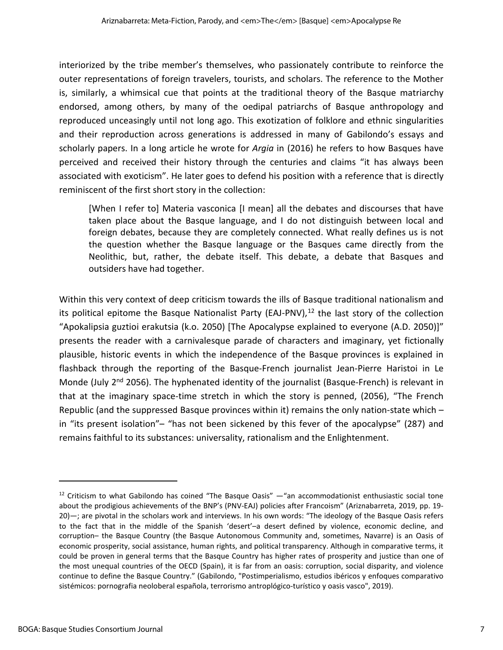interiorized by the tribe member's themselves, who passionately contribute to reinforce the outer representations of foreign travelers, tourists, and scholars. The reference to the Mother is, similarly, a whimsical cue that points at the traditional theory of the Basque matriarchy endorsed, among others, by many of the oedipal patriarchs of Basque anthropology and reproduced unceasingly until not long ago. This exotization of folklore and ethnic singularities and their reproduction across generations is addressed in many of Gabilondo's essays and scholarly papers. In a long article he wrote for *Argia* in (2016) he refers to how Basques have perceived and received their history through the centuries and claims "it has always been associated with exoticism". He later goes to defend his position with a reference that is directly reminiscent of the first short story in the collection:

[When I refer to] Materia vasconica [I mean] all the debates and discourses that have taken place about the Basque language, and I do not distinguish between local and foreign debates, because they are completely connected. What really defines us is not the question whether the Basque language or the Basques came directly from the Neolithic, but, rather, the debate itself. This debate, a debate that Basques and outsiders have had together.

Within this very context of deep criticism towards the ills of Basque traditional nationalism and its political epitome the Basque Nationalist Party (EAJ-PNV), $^{12}$  $^{12}$  $^{12}$  the last story of the collection "Apokalipsia guztioi erakutsia (k.o. 2050) [The Apocalypse explained to everyone (A.D. 2050)]" presents the reader with a carnivalesque parade of characters and imaginary, yet fictionally plausible, historic events in which the independence of the Basque provinces is explained in flashback through the reporting of the Basque-French journalist Jean-Pierre Haristoi in Le Monde (July 2<sup>nd</sup> 2056). The hyphenated identity of the journalist (Basque-French) is relevant in that at the imaginary space-time stretch in which the story is penned, (2056), "The French Republic (and the suppressed Basque provinces within it) remains the only nation-state which – in "its present isolation"– "has not been sickened by this fever of the apocalypse" (287) and remains faithful to its substances: universality, rationalism and the Enlightenment.

<span id="page-7-0"></span> $12$  Criticism to what Gabilondo has coined "The Basque Oasis"  $-$  "an accommodationist enthusiastic social tone about the prodigious achievements of the BNP's (PNV-EAJ) policies after Francoism" (Ariznabarreta, 2019, pp. 19- 20)—; are pivotal in the scholars work and interviews. In his own words: "The ideology of the Basque Oasis refers to the fact that in the middle of the Spanish 'desert'–a desert defined by violence, economic decline, and corruption– the Basque Country (the Basque Autonomous Community and, sometimes, Navarre) is an Oasis of economic prosperity, social assistance, human rights, and political transparency. Although in comparative terms, it could be proven in general terms that the Basque Country has higher rates of prosperity and justice than one of the most unequal countries of the OECD (Spain), it is far from an oasis: corruption, social disparity, and violence continue to define the Basque Country." (Gabilondo, "Postimperialismo, estudios ibéricos y enfoques comparativo sistémicos: pornografia neoloberal española, terrorismo antroplógico-turístico y oasis vasco", 2019).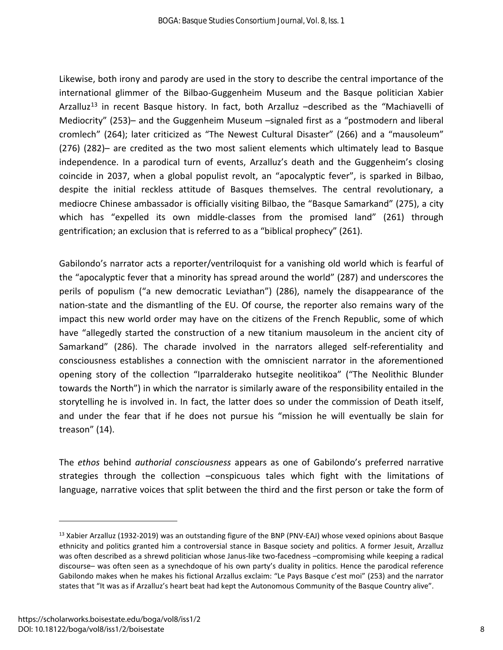Likewise, both irony and parody are used in the story to describe the central importance of the international glimmer of the Bilbao-Guggenheim Museum and the Basque politician Xabier Arzalluz<sup>[13](#page-8-0)</sup> in recent Basque history. In fact, both Arzalluz -described as the "Machiavelli of Mediocrity" (253)– and the Guggenheim Museum –signaled first as a "postmodern and liberal cromlech" (264); later criticized as "The Newest Cultural Disaster" (266) and a "mausoleum" (276) (282)– are credited as the two most salient elements which ultimately lead to Basque independence. In a parodical turn of events, Arzalluz's death and the Guggenheim's closing coincide in 2037, when a global populist revolt, an "apocalyptic fever", is sparked in Bilbao, despite the initial reckless attitude of Basques themselves. The central revolutionary, a mediocre Chinese ambassador is officially visiting Bilbao, the "Basque Samarkand" (275), a city which has "expelled its own middle-classes from the promised land" (261) through gentrification; an exclusion that is referred to as a "biblical prophecy" (261).

Gabilondo's narrator acts a reporter/ventriloquist for a vanishing old world which is fearful of the "apocalyptic fever that a minority has spread around the world" (287) and underscores the perils of populism ("a new democratic Leviathan") (286), namely the disappearance of the nation-state and the dismantling of the EU. Of course, the reporter also remains wary of the impact this new world order may have on the citizens of the French Republic, some of which have "allegedly started the construction of a new titanium mausoleum in the ancient city of Samarkand" (286). The charade involved in the narrators alleged self-referentiality and consciousness establishes a connection with the omniscient narrator in the aforementioned opening story of the collection "Iparralderako hutsegite neolitikoa" ("The Neolithic Blunder towards the North") in which the narrator is similarly aware of the responsibility entailed in the storytelling he is involved in. In fact, the latter does so under the commission of Death itself, and under the fear that if he does not pursue his "mission he will eventually be slain for treason" (14).

The *ethos* behind *authorial consciousness* appears as one of Gabilondo's preferred narrative strategies through the collection –conspicuous tales which fight with the limitations of language, narrative voices that split between the third and the first person or take the form of

<span id="page-8-0"></span><sup>&</sup>lt;sup>13</sup> Xabier Arzalluz (1932-2019) was an outstanding figure of the BNP (PNV-EAJ) whose vexed opinions about Basque ethnicity and politics granted him a controversial stance in Basque society and politics. A former Jesuit, Arzalluz was often described as a shrewd politician whose Janus-like two-facedness –compromising while keeping a radical discourse– was often seen as a synechdoque of his own party's duality in politics. Hence the parodical reference Gabilondo makes when he makes his fictional Arzallus exclaim: "Le Pays Basque c'est moi" (253) and the narrator states that "It was as if Arzalluz's heart beat had kept the Autonomous Community of the Basque Country alive".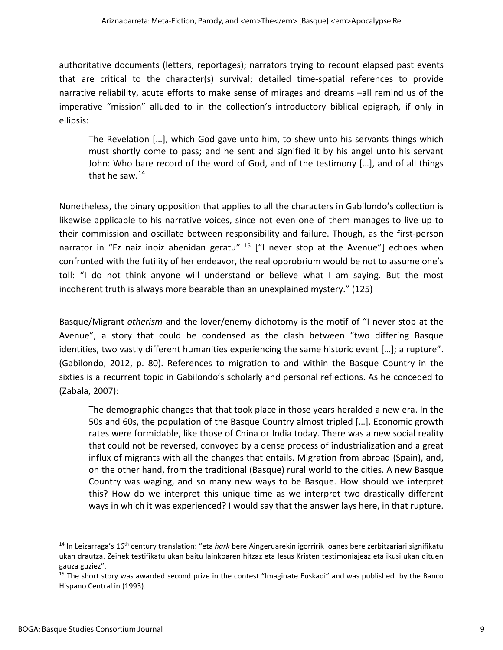authoritative documents (letters, reportages); narrators trying to recount elapsed past events that are critical to the character(s) survival; detailed time-spatial references to provide narrative reliability, acute efforts to make sense of mirages and dreams –all remind us of the imperative "mission" alluded to in the collection's introductory biblical epigraph, if only in ellipsis:

The Revelation […], which God gave unto him, to shew unto his servants things which must shortly come to pass; and he sent and signified it by his angel unto his servant John: Who bare record of the word of God, and of the testimony […], and of all things that he saw.<sup>[14](#page-9-0)</sup>

Nonetheless, the binary opposition that applies to all the characters in Gabilondo's collection is likewise applicable to his narrative voices, since not even one of them manages to live up to their commission and oscillate between responsibility and failure. Though, as the first-person narrator in "Ez naiz inoiz abenidan geratu"  $15$  ["I never stop at the Avenue"] echoes when confronted with the futility of her endeavor, the real opprobrium would be not to assume one's toll: "I do not think anyone will understand or believe what I am saying. But the most incoherent truth is always more bearable than an unexplained mystery." (125)

Basque/Migrant *otherism* and the lover/enemy dichotomy is the motif of "I never stop at the Avenue", a story that could be condensed as the clash between "two differing Basque identities, two vastly different humanities experiencing the same historic event […]; a rupture". (Gabilondo, 2012, p. 80). References to migration to and within the Basque Country in the sixties is a recurrent topic in Gabilondo's scholarly and personal reflections. As he conceded to (Zabala, 2007):

The demographic changes that that took place in those years heralded a new era. In the 50s and 60s, the population of the Basque Country almost tripled […]. Economic growth rates were formidable, like those of China or India today. There was a new social reality that could not be reversed, convoyed by a dense process of industrialization and a great influx of migrants with all the changes that entails. Migration from abroad (Spain), and, on the other hand, from the traditional (Basque) rural world to the cities. A new Basque Country was waging, and so many new ways to be Basque. How should we interpret this? How do we interpret this unique time as we interpret two drastically different ways in which it was experienced? I would say that the answer lays here, in that rupture.

<span id="page-9-0"></span><sup>14</sup> In Leizarraga's 16th century translation: "eta *hark* bere Aingeruarekin igorririk Ioanes bere zerbitzariari signifikatu ukan drautza. Zeinek testifikatu ukan baitu Iainkoaren hitzaz eta Iesus Kristen testimoniajeaz eta ikusi ukan dituen gauza guziez".

<span id="page-9-1"></span><sup>&</sup>lt;sup>15</sup> The short story was awarded second prize in the contest "Imaginate Euskadi" and was published by the Banco Hispano Central in (1993).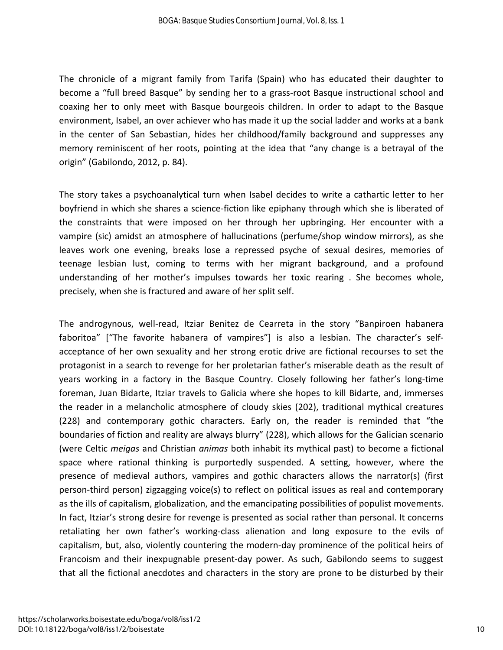The chronicle of a migrant family from Tarifa (Spain) who has educated their daughter to become a "full breed Basque" by sending her to a grass-root Basque instructional school and coaxing her to only meet with Basque bourgeois children. In order to adapt to the Basque environment, Isabel, an over achiever who has made it up the social ladder and works at a bank in the center of San Sebastian, hides her childhood/family background and suppresses any memory reminiscent of her roots, pointing at the idea that "any change is a betrayal of the origin" (Gabilondo, 2012, p. 84).

The story takes a psychoanalytical turn when Isabel decides to write a cathartic letter to her boyfriend in which she shares a science-fiction like epiphany through which she is liberated of the constraints that were imposed on her through her upbringing. Her encounter with a vampire (sic) amidst an atmosphere of hallucinations (perfume/shop window mirrors), as she leaves work one evening, breaks lose a repressed psyche of sexual desires, memories of teenage lesbian lust, coming to terms with her migrant background, and a profound understanding of her mother's impulses towards her toxic rearing . She becomes whole, precisely, when she is fractured and aware of her split self.

The androgynous, well-read, Itziar Benitez de Cearreta in the story "Banpiroen habanera faboritoa" ["The favorite habanera of vampires"] is also a lesbian. The character's selfacceptance of her own sexuality and her strong erotic drive are fictional recourses to set the protagonist in a search to revenge for her proletarian father's miserable death as the result of years working in a factory in the Basque Country. Closely following her father's long-time foreman, Juan Bidarte, Itziar travels to Galicia where she hopes to kill Bidarte, and, immerses the reader in a melancholic atmosphere of cloudy skies (202), traditional mythical creatures (228) and contemporary gothic characters. Early on, the reader is reminded that "the boundaries of fiction and reality are always blurry" (228), which allows for the Galician scenario (were Celtic *meigas* and Christian *animas* both inhabit its mythical past) to become a fictional space where rational thinking is purportedly suspended. A setting, however, where the presence of medieval authors, vampires and gothic characters allows the narrator(s) (first person-third person) zigzagging voice(s) to reflect on political issues as real and contemporary as the ills of capitalism, globalization, and the emancipating possibilities of populist movements. In fact, Itziar's strong desire for revenge is presented as social rather than personal. It concerns retaliating her own father's working-class alienation and long exposure to the evils of capitalism, but, also, violently countering the modern-day prominence of the political heirs of Francoism and their inexpugnable present-day power. As such, Gabilondo seems to suggest that all the fictional anecdotes and characters in the story are prone to be disturbed by their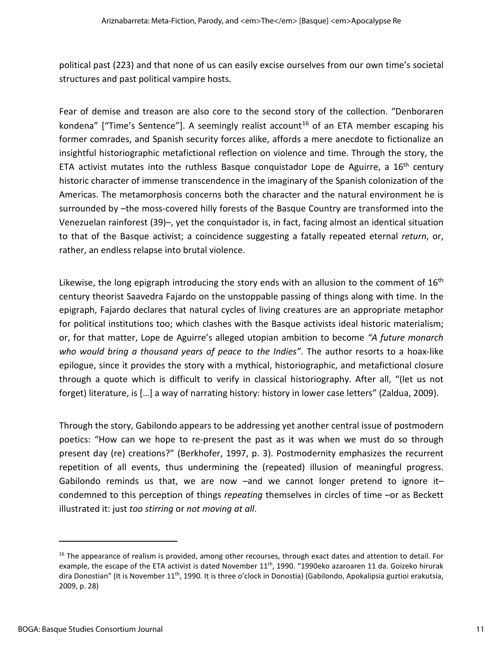political past (223) and that none of us can easily excise ourselves from our own time's societal structures and past political vampire hosts.

Fear of demise and treason are also core to the second story of the collection. "Denboraren kondena" ["Time's Sentence"]. A seemingly realist account<sup>[16](#page-11-0)</sup> of an ETA member escaping his former comrades, and Spanish security forces alike, affords a mere anecdote to fictionalize an insightful historiographic metafictional reflection on violence and time. Through the story, the ETA activist mutates into the ruthless Basque conquistador Lope de Aguirre, a  $16<sup>th</sup>$  century historic character of immense transcendence in the imaginary of the Spanish colonization of the Americas. The metamorphosis concerns both the character and the natural environment he is surrounded by –the moss-covered hilly forests of the Basque Country are transformed into the Venezuelan rainforest (39)–, yet the conquistador is, in fact, facing almost an identical situation to that of the Basque activist; a coincidence suggesting a fatally repeated eternal *return*, or, rather, an endless relapse into brutal violence.

Likewise, the long epigraph introducing the story ends with an allusion to the comment of  $16<sup>th</sup>$ century theorist Saavedra Fajardo on the unstoppable passing of things along with time. In the epigraph, Fajardo declares that natural cycles of living creatures are an appropriate metaphor for political institutions too; which clashes with the Basque activists ideal historic materialism; or, for that matter, Lope de Aguirre's alleged utopian ambition to become *"A future monarch who would bring a thousand years of peace to the Indies"*. The author resorts to a hoax-like epilogue, since it provides the story with a mythical, historiographic, and metafictional closure through a quote which is difficult to verify in classical historiography. After all, "(let us not forget) literature, is […] a way of narrating history: history in lower case letters" (Zaldua, 2009).

Through the story, Gabilondo appears to be addressing yet another central issue of postmodern poetics: "How can we hope to re-present the past as it was when we must do so through present day (re) creations?" (Berkhofer, 1997, p. 3). Postmodernity emphasizes the recurrent repetition of all events, thus undermining the (repeated) illusion of meaningful progress. Gabilondo reminds us that, we are now –and we cannot longer pretend to ignore it– condemned to this perception of things *repeating* themselves in circles of time –or as Beckett illustrated it: just *too stirring* or *not moving at all*.

<span id="page-11-0"></span><sup>&</sup>lt;sup>16</sup> The appearance of realism is provided, among other recourses, through exact dates and attention to detail. For example, the escape of the ETA activist is dated November 11<sup>th</sup>, 1990. "1990eko azaroaren 11 da. Goizeko hirurak dira Donostian" (It is November 11th, 1990. It is three o'clock in Donostia) (Gabilondo, Apokalipsia guztioi erakutsia, 2009, p. 28)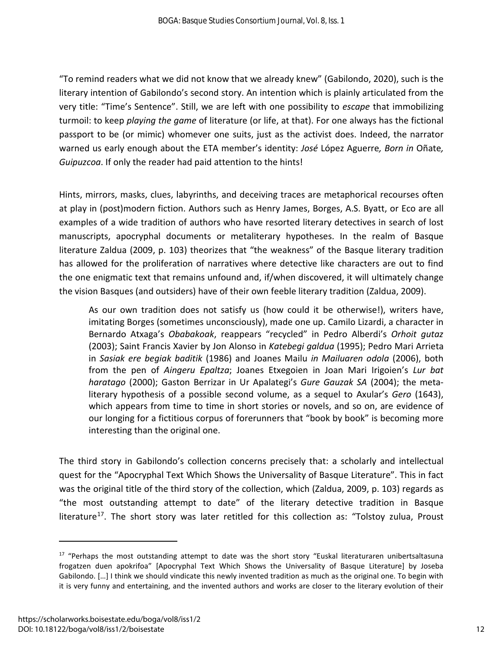"To remind readers what we did not know that we already knew" (Gabilondo, 2020), such is the literary intention of Gabilondo's second story. An intention which is plainly articulated from the very title: "Time's Sentence". Still, we are left with one possibility to *escape* that immobilizing turmoil: to keep *playing the game* of literature (or life, at that). For one always has the fictional passport to be (or mimic) whomever one suits, just as the activist does. Indeed, the narrator warned us early enough about the ETA member's identity: *José* López Aguerre*, Born in* Oñate*, Guipuzcoa*. If only the reader had paid attention to the hints!

Hints, mirrors, masks, clues, labyrinths, and deceiving traces are metaphorical recourses often at play in (post)modern fiction. Authors such as Henry James, Borges, A.S. Byatt, or Eco are all examples of a wide tradition of authors who have resorted literary detectives in search of lost manuscripts, apocryphal documents or metaliterary hypotheses. In the realm of Basque literature Zaldua (2009, p. 103) theorizes that "the weakness" of the Basque literary tradition has allowed for the proliferation of narratives where detective like characters are out to find the one enigmatic text that remains unfound and, if/when discovered, it will ultimately change the vision Basques (and outsiders) have of their own feeble literary tradition (Zaldua, 2009).

As our own tradition does not satisfy us (how could it be otherwise!), writers have, imitating Borges (sometimes unconsciously), made one up. Camilo Lizardi, a character in Bernardo Atxaga's *Obabakoak*, reappears "recycled" in Pedro Alberdi's *Orhoit gutaz* (2003); Saint Francis Xavier by Jon Alonso in *Katebegi galdua* (1995); Pedro Mari Arrieta in *Sasiak ere begiak baditik* (1986) and Joanes Mailu *in Mailuaren odola* (2006), both from the pen of *Aingeru Epaltza*; Joanes Etxegoien in Joan Mari Irigoien's *Lur bat haratago* (2000); Gaston Berrizar in Ur Apalategi's *Gure Gauzak SA* (2004); the metaliterary hypothesis of a possible second volume, as a sequel to Axular's *Gero* (1643), which appears from time to time in short stories or novels, and so on, are evidence of our longing for a fictitious corpus of forerunners that "book by book" is becoming more interesting than the original one.

The third story in Gabilondo's collection concerns precisely that: a scholarly and intellectual quest for the "Apocryphal Text Which Shows the Universality of Basque Literature". This in fact was the original title of the third story of the collection, which (Zaldua, 2009, p. 103) regards as "the most outstanding attempt to date" of the literary detective tradition in Basque literature<sup>17</sup>. The short story was later retitled for this collection as: "Tolstoy zulua, Proust

<span id="page-12-0"></span><sup>&</sup>lt;sup>17</sup> "Perhaps the most outstanding attempt to date was the short story "Euskal literaturaren unibertsaltasuna frogatzen duen apokrifoa" [Apocryphal Text Which Shows the Universality of Basque Literature] by Joseba Gabilondo. […] I think we should vindicate this newly invented tradition as much as the original one. To begin with it is very funny and entertaining, and the invented authors and works are closer to the literary evolution of their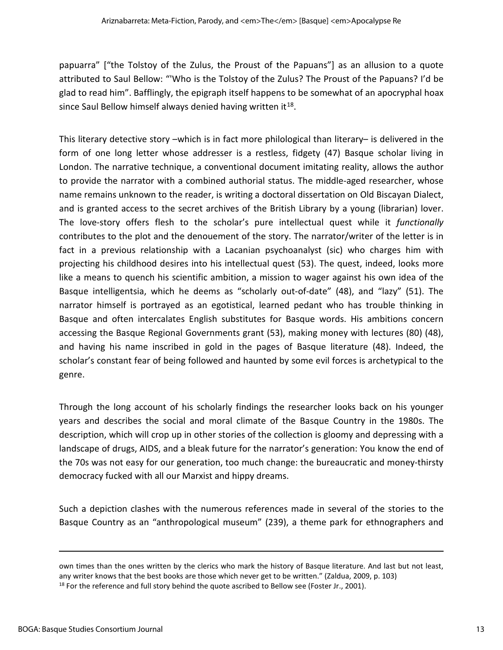papuarra" ["the Tolstoy of the Zulus, the Proust of the Papuans"] as an allusion to a quote attributed to Saul Bellow: "'Who is the Tolstoy of the Zulus? The Proust of the Papuans? I'd be glad to read him". Bafflingly, the epigraph itself happens to be somewhat of an apocryphal hoax since Saul Bellow himself always denied having written it  $18$ .

This literary detective story –which is in fact more philological than literary– is delivered in the form of one long letter whose addresser is a restless, fidgety (47) Basque scholar living in London. The narrative technique, a conventional document imitating reality, allows the author to provide the narrator with a combined authorial status. The middle-aged researcher, whose name remains unknown to the reader, is writing a doctoral dissertation on Old Biscayan Dialect, and is granted access to the secret archives of the British Library by a young (librarian) lover. The love-story offers flesh to the scholar's pure intellectual quest while it *functionally* contributes to the plot and the denouement of the story. The narrator/writer of the letter is in fact in a previous relationship with a Lacanian psychoanalyst (sic) who charges him with projecting his childhood desires into his intellectual quest (53). The quest, indeed, looks more like a means to quench his scientific ambition, a mission to wager against his own idea of the Basque intelligentsia, which he deems as "scholarly out-of-date" (48), and "lazy" (51). The narrator himself is portrayed as an egotistical, learned pedant who has trouble thinking in Basque and often intercalates English substitutes for Basque words. His ambitions concern accessing the Basque Regional Governments grant (53), making money with lectures (80) (48), and having his name inscribed in gold in the pages of Basque literature (48). Indeed, the scholar's constant fear of being followed and haunted by some evil forces is archetypical to the genre.

Through the long account of his scholarly findings the researcher looks back on his younger years and describes the social and moral climate of the Basque Country in the 1980s. The description, which will crop up in other stories of the collection is gloomy and depressing with a landscape of drugs, AIDS, and a bleak future for the narrator's generation: You know the end of the 70s was not easy for our generation, too much change: the bureaucratic and money-thirsty democracy fucked with all our Marxist and hippy dreams.

Such a depiction clashes with the numerous references made in several of the stories to the Basque Country as an "anthropological museum" (239), a theme park for ethnographers and

<span id="page-13-0"></span>own times than the ones written by the clerics who mark the history of Basque literature. And last but not least, any writer knows that the best books are those which never get to be written." (Zaldua, 2009, p. 103)  $18$  For the reference and full story behind the quote ascribed to Bellow see (Foster Jr., 2001).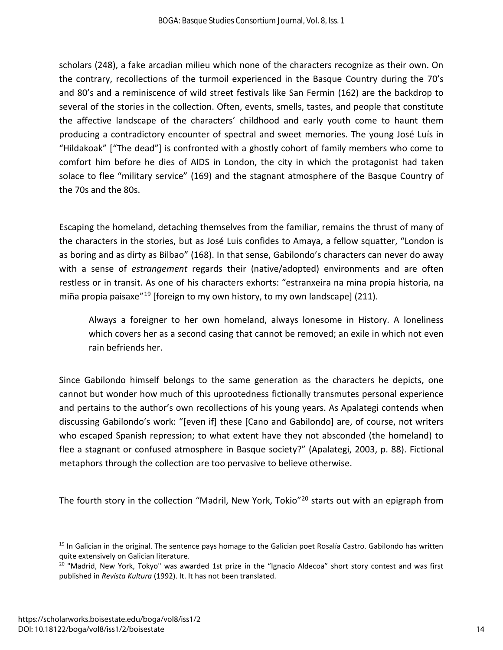scholars (248), a fake arcadian milieu which none of the characters recognize as their own. On the contrary, recollections of the turmoil experienced in the Basque Country during the 70's and 80's and a reminiscence of wild street festivals like San Fermin (162) are the backdrop to several of the stories in the collection. Often, events, smells, tastes, and people that constitute the affective landscape of the characters' childhood and early youth come to haunt them producing a contradictory encounter of spectral and sweet memories. The young José Luís in "Hildakoak" ["The dead"] is confronted with a ghostly cohort of family members who come to comfort him before he dies of AIDS in London, the city in which the protagonist had taken solace to flee "military service" (169) and the stagnant atmosphere of the Basque Country of the 70s and the 80s.

Escaping the homeland, detaching themselves from the familiar, remains the thrust of many of the characters in the stories, but as José Luis confides to Amaya, a fellow squatter, "London is as boring and as dirty as Bilbao" (168). In that sense, Gabilondo's characters can never do away with a sense of *estrangement* regards their (native/adopted) environments and are often restless or in transit. As one of his characters exhorts: "estranxeira na mina propia historia, na miña propia paisaxe"<sup>19</sup> [foreign to my own history, to my own landscape] (211).

Always a foreigner to her own homeland, always lonesome in History. A loneliness which covers her as a second casing that cannot be removed; an exile in which not even rain befriends her.

Since Gabilondo himself belongs to the same generation as the characters he depicts, one cannot but wonder how much of this uprootedness fictionally transmutes personal experience and pertains to the author's own recollections of his young years. As Apalategi contends when discussing Gabilondo's work: "[even if] these [Cano and Gabilondo] are, of course, not writers who escaped Spanish repression; to what extent have they not absconded (the homeland) to flee a stagnant or confused atmosphere in Basque society?" (Apalategi, 2003, p. 88). Fictional metaphors through the collection are too pervasive to believe otherwise.

The fourth story in the collection "Madril, New York, Tokio"<sup>[20](#page-14-1)</sup> starts out with an epigraph from

<span id="page-14-0"></span> $19$  In Galician in the original. The sentence pays homage to the Galician poet Rosalía Castro. Gabilondo has written quite extensively on Galician literature.<br><sup>20</sup> "Madrid, New York, Tokyo" was awarded 1st prize in the "Ignacio Aldecoa" short story contest and was first

<span id="page-14-1"></span>published in *Revista Kultura* (1992). It. It has not been translated.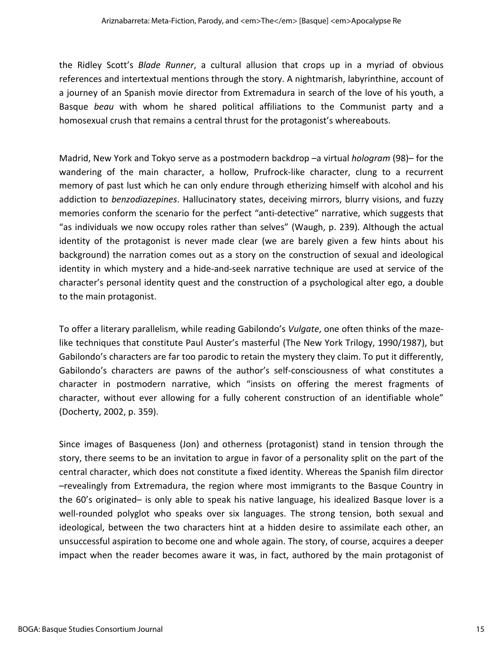the Ridley Scott's *Blade Runner*, a cultural allusion that crops up in a myriad of obvious references and intertextual mentions through the story. A nightmarish, labyrinthine, account of a journey of an Spanish movie director from Extremadura in search of the love of his youth, a Basque *beau* with whom he shared political affiliations to the Communist party and a homosexual crush that remains a central thrust for the protagonist's whereabouts.

Madrid, New York and Tokyo serve as a postmodern backdrop –a virtual *hologram* (98)– for the wandering of the main character, a hollow, Prufrock-like character, clung to a recurrent memory of past lust which he can only endure through etherizing himself with alcohol and his addiction to *benzodiazepines*. Hallucinatory states, deceiving mirrors, blurry visions, and fuzzy memories conform the scenario for the perfect "anti-detective" narrative, which suggests that "as individuals we now occupy roles rather than selves" (Waugh, p. 239). Although the actual identity of the protagonist is never made clear (we are barely given a few hints about his background) the narration comes out as a story on the construction of sexual and ideological identity in which mystery and a hide-and-seek narrative technique are used at service of the character's personal identity quest and the construction of a psychological alter ego, a double to the main protagonist.

To offer a literary parallelism, while reading Gabilondo's *Vulgate*, one often thinks of the mazelike techniques that constitute Paul Auster's masterful (The New York Trilogy, 1990/1987), but Gabilondo's characters are far too parodic to retain the mystery they claim. To put it differently, Gabilondo's characters are pawns of the author's self-consciousness of what constitutes a character in postmodern narrative, which "insists on offering the merest fragments of character, without ever allowing for a fully coherent construction of an identifiable whole" (Docherty, 2002, p. 359).

Since images of Basqueness (Jon) and otherness (protagonist) stand in tension through the story, there seems to be an invitation to argue in favor of a personality split on the part of the central character, which does not constitute a fixed identity. Whereas the Spanish film director –revealingly from Extremadura, the region where most immigrants to the Basque Country in the 60's originated– is only able to speak his native language, his idealized Basque lover is a well-rounded polyglot who speaks over six languages. The strong tension, both sexual and ideological, between the two characters hint at a hidden desire to assimilate each other, an unsuccessful aspiration to become one and whole again. The story, of course, acquires a deeper impact when the reader becomes aware it was, in fact, authored by the main protagonist of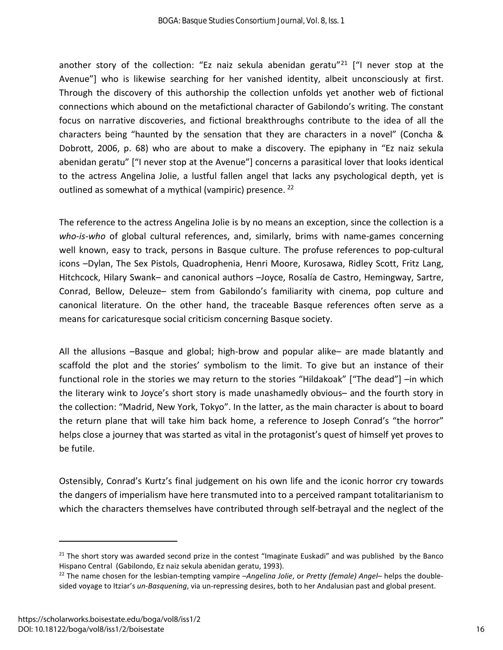another story of the collection: "Ez naiz sekula abenidan geratu"<sup>[21](#page-16-0)</sup> ["I never stop at the Avenue"] who is likewise searching for her vanished identity, albeit unconsciously at first. Through the discovery of this authorship the collection unfolds yet another web of fictional connections which abound on the metafictional character of Gabilondo's writing. The constant focus on narrative discoveries, and fictional breakthroughs contribute to the idea of all the characters being "haunted by the sensation that they are characters in a novel" (Concha & Dobrott, 2006, p. 68) who are about to make a discovery. The epiphany in "Ez naiz sekula abenidan geratu" ["I never stop at the Avenue"] concerns a parasitical lover that looks identical to the actress Angelina Jolie, a lustful fallen angel that lacks any psychological depth, yet is outlined as somewhat of a mythical (vampiric) presence. <sup>[22](#page-16-1)</sup>

The reference to the actress Angelina Jolie is by no means an exception, since the collection is a *who-is-who* of global cultural references, and, similarly, brims with name-games concerning well known, easy to track, persons in Basque culture. The profuse references to pop-cultural icons –Dylan, The Sex Pistols, Quadrophenia, Henri Moore, Kurosawa, Ridley Scott, Fritz Lang, Hitchcock, Hilary Swank– and canonical authors –Joyce, Rosalía de Castro, Hemingway, Sartre, Conrad, Bellow, Deleuze– stem from Gabilondo's familiarity with cinema, pop culture and canonical literature. On the other hand, the traceable Basque references often serve as a means for caricaturesque social criticism concerning Basque society.

All the allusions –Basque and global; high-brow and popular alike– are made blatantly and scaffold the plot and the stories' symbolism to the limit. To give but an instance of their functional role in the stories we may return to the stories "Hildakoak" ["The dead"] –in which the literary wink to Joyce's short story is made unashamedly obvious– and the fourth story in the collection: "Madrid, New York, Tokyo". In the latter, as the main character is about to board the return plane that will take him back home, a reference to Joseph Conrad's "the horror" helps close a journey that was started as vital in the protagonist's quest of himself yet proves to be futile.

Ostensibly, Conrad's Kurtz's final judgement on his own life and the iconic horror cry towards the dangers of imperialism have here transmuted into to a perceived rampant totalitarianism to which the characters themselves have contributed through self-betrayal and the neglect of the

<span id="page-16-0"></span> $21$  The short story was awarded second prize in the contest "Imaginate Euskadi" and was published by the Banco Hispano Central (Gabilondo, Ez naiz sekula abenidan geratu, 1993).<br><sup>22</sup> The name chosen for the lesbian-tempting vampire *–Angelina Jolie*, or *Pretty (female) Angel*– helps the double-

<span id="page-16-1"></span>sided voyage to Itziar's *un-Basquening*, via un-repressing desires, both to her Andalusian past and global present.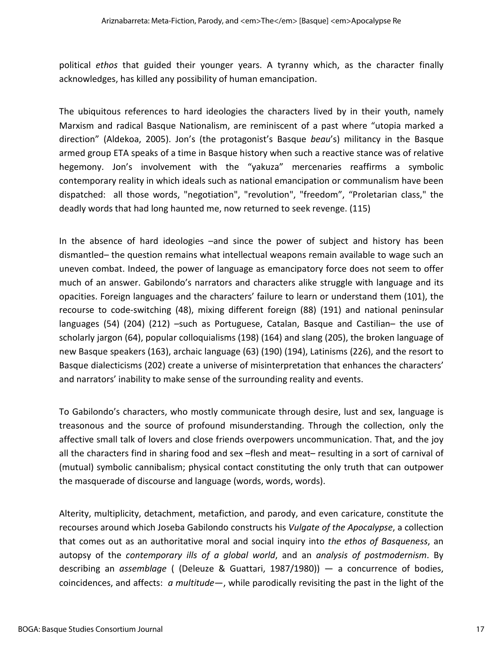political *ethos* that guided their younger years. A tyranny which, as the character finally acknowledges, has killed any possibility of human emancipation.

The ubiquitous references to hard ideologies the characters lived by in their youth, namely Marxism and radical Basque Nationalism, are reminiscent of a past where "utopia marked a direction" (Aldekoa, 2005). Jon's (the protagonist's Basque *beau*'s) militancy in the Basque armed group ETA speaks of a time in Basque history when such a reactive stance was of relative hegemony. Jon's involvement with the "yakuza" mercenaries reaffirms a symbolic contemporary reality in which ideals such as national emancipation or communalism have been dispatched: all those words, "negotiation", "revolution", "freedom", "Proletarian class," the deadly words that had long haunted me, now returned to seek revenge. (115)

In the absence of hard ideologies –and since the power of subject and history has been dismantled– the question remains what intellectual weapons remain available to wage such an uneven combat. Indeed, the power of language as emancipatory force does not seem to offer much of an answer. Gabilondo's narrators and characters alike struggle with language and its opacities. Foreign languages and the characters' failure to learn or understand them (101), the recourse to code-switching (48), mixing different foreign (88) (191) and national peninsular languages (54) (204) (212) –such as Portuguese, Catalan, Basque and Castilian– the use of scholarly jargon (64), popular colloquialisms (198) (164) and slang (205), the broken language of new Basque speakers (163), archaic language (63) (190) (194), Latinisms (226), and the resort to Basque dialecticisms (202) create a universe of misinterpretation that enhances the characters' and narrators' inability to make sense of the surrounding reality and events.

To Gabilondo's characters, who mostly communicate through desire, lust and sex, language is treasonous and the source of profound misunderstanding. Through the collection, only the affective small talk of lovers and close friends overpowers uncommunication. That, and the joy all the characters find in sharing food and sex –flesh and meat– resulting in a sort of carnival of (mutual) symbolic cannibalism; physical contact constituting the only truth that can outpower the masquerade of discourse and language (words, words, words).

Alterity, multiplicity, detachment, metafiction, and parody, and even caricature, constitute the recourses around which Joseba Gabilondo constructs his *Vulgate of the Apocalypse*, a collection that comes out as an authoritative moral and social inquiry into *the ethos of Basqueness*, an autopsy of the *contemporary ills of a global world*, and an *analysis of postmodernism*. By describing an *assemblage* ( (Deleuze & Guattari, 1987/1980)) — a concurrence of bodies, coincidences, and affects: *a multitude*—, while parodically revisiting the past in the light of the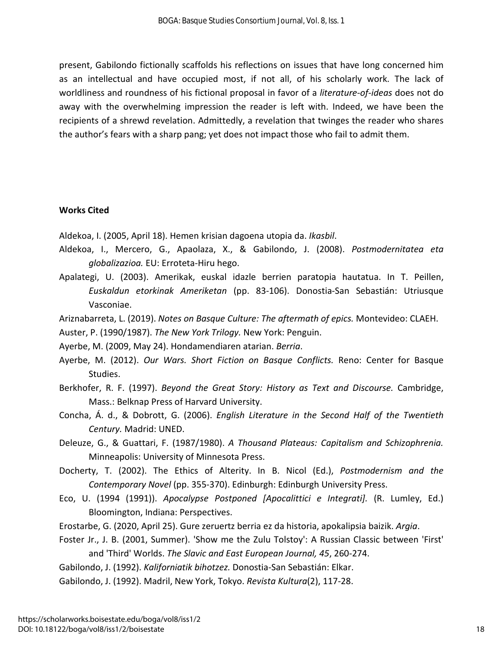present, Gabilondo fictionally scaffolds his reflections on issues that have long concerned him as an intellectual and have occupied most, if not all, of his scholarly work. The lack of worldliness and roundness of his fictional proposal in favor of a *literature-of-ideas* does not do away with the overwhelming impression the reader is left with. Indeed, we have been the recipients of a shrewd revelation. Admittedly, a revelation that twinges the reader who shares the author's fears with a sharp pang; yet does not impact those who fail to admit them.

#### **Works Cited**

Aldekoa, I. (2005, April 18). Hemen krisian dagoena utopia da. *Ikasbil*.

- Aldekoa, I., Mercero, G., Apaolaza, X., & Gabilondo, J. (2008). *Postmodernitatea eta globalizazioa.* EU: Erroteta-Hiru hego.
- Apalategi, U. (2003). Amerikak, euskal idazle berrien paratopia hautatua. In T. Peillen, *Euskaldun etorkinak Ameriketan* (pp. 83-106). Donostia-San Sebastián: Utriusque Vasconiae.
- Ariznabarreta, L. (2019). *Notes on Basque Culture: The aftermath of epics.* Montevideo: CLAEH.

Auster, P. (1990/1987). *The New York Trilogy.* New York: Penguin.

Ayerbe, M. (2009, May 24). Hondamendiaren atarian. *Berria*.

- Ayerbe, M. (2012). *Our Wars. Short Fiction on Basque Conflicts.* Reno: Center for Basque Studies.
- Berkhofer, R. F. (1997). *Beyond the Great Story: History as Text and Discourse.* Cambridge, Mass.: Belknap Press of Harvard University.
- Concha, Á. d., & Dobrott, G. (2006). *English Literature in the Second Half of the Twentieth Century.* Madrid: UNED.
- Deleuze, G., & Guattari, F. (1987/1980). *A Thousand Plateaus: Capitalism and Schizophrenia.* Minneapolis: University of Minnesota Press.
- Docherty, T. (2002). The Ethics of Alterity. In B. Nicol (Ed.), *Postmodernism and the Contemporary Novel* (pp. 355-370). Edinburgh: Edinburgh University Press.
- Eco, U. (1994 (1991)). *Apocalypse Postponed [Apocalittici e Integrati].* (R. Lumley, Ed.) Bloomington, Indiana: Perspectives.
- Erostarbe, G. (2020, April 25). Gure zeruertz berria ez da historia, apokalipsia baizik. *Argia*.
- Foster Jr., J. B. (2001, Summer). 'Show me the Zulu Tolstoy': A Russian Classic between 'First' and 'Third' Worlds. *The Slavic and East European Journal, 45*, 260-274.
- Gabilondo, J. (1992). *Kaliforniatik bihotzez.* Donostia-San Sebastián: Elkar.

Gabilondo, J. (1992). Madril, New York, Tokyo. *Revista Kultura*(2), 117-28.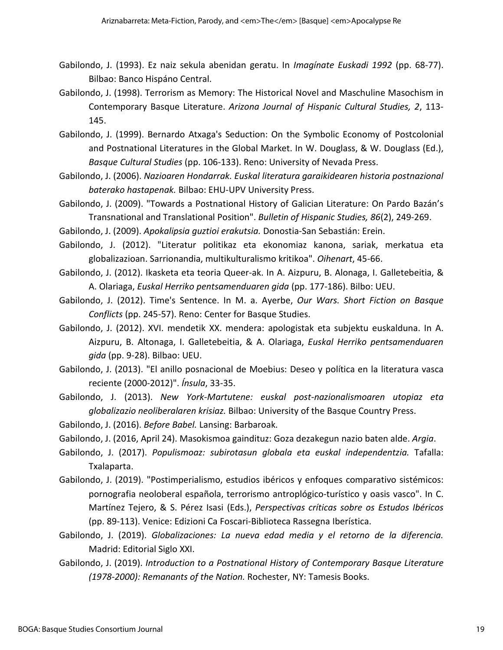- Gabilondo, J. (1993). Ez naiz sekula abenidan geratu. In *Imagínate Euskadi 1992* (pp. 68-77). Bilbao: Banco Hispáno Central.
- Gabilondo, J. (1998). Terrorism as Memory: The Historical Novel and Maschuline Masochism in Contemporary Basque Literature. *Arizona Journal of Hispanic Cultural Studies, 2*, 113- 145.
- Gabilondo, J. (1999). Bernardo Atxaga's Seduction: On the Symbolic Economy of Postcolonial and Postnational Literatures in the Global Market. In W. Douglass, & W. Douglass (Ed.), *Basque Cultural Studies* (pp. 106-133). Reno: University of Nevada Press.
- Gabilondo, J. (2006). *Nazioaren Hondarrak. Euskal literatura garaikidearen historia postnazional baterako hastapenak.* Bilbao: EHU-UPV University Press.
- Gabilondo, J. (2009). "Towards a Postnational History of Galician Literature: On Pardo Bazán's Transnational and Translational Position". *Bulletin of Hispanic Studies, 86*(2), 249-269.

Gabilondo, J. (2009). *Apokalipsia guztioi erakutsia.* Donostia-San Sebastián: Erein.

- Gabilondo, J. (2012). "Literatur politikaz eta ekonomiaz kanona, sariak, merkatua eta globalizazioan. Sarrionandia, multikulturalismo kritikoa". *Oihenart*, 45-66.
- Gabilondo, J. (2012). Ikasketa eta teoria Queer-ak. In A. Aizpuru, B. Alonaga, I. Galletebeitia, & A. Olariaga, *Euskal Herriko pentsamenduaren gida* (pp. 177-186). Bilbo: UEU.
- Gabilondo, J. (2012). Time's Sentence. In M. a. Ayerbe, *Our Wars. Short Fiction on Basque Conflicts* (pp. 245-57). Reno: Center for Basque Studies.
- Gabilondo, J. (2012). XVI. mendetik XX. mendera: apologistak eta subjektu euskalduna. In A. Aizpuru, B. Altonaga, I. Galletebeitia, & A. Olariaga, *Euskal Herriko pentsamenduaren gida* (pp. 9-28). Bilbao: UEU.
- Gabilondo, J. (2013). "El anillo posnacional de Moebius: Deseo y política en la literatura vasca reciente (2000-2012)". *Ínsula*, 33-35.
- Gabilondo, J. (2013). *New York-Martutene: euskal post-nazionalismoaren utopiaz eta globalizazio neoliberalaren krisiaz.* Bilbao: University of the Basque Country Press.
- Gabilondo, J. (2016). *Before Babel.* Lansing: Barbaroak.
- Gabilondo, J. (2016, April 24). Masokismoa gaindituz: Goza dezakegun nazio baten alde. *Argia*.
- Gabilondo, J. (2017). *Populismoaz: subirotasun globala eta euskal independentzia.* Tafalla: Txalaparta.
- Gabilondo, J. (2019). "Postimperialismo, estudios ibéricos y enfoques comparativo sistémicos: pornografia neoloberal española, terrorismo antroplógico-turístico y oasis vasco". In C. Martínez Tejero, & S. Pérez Isasi (Eds.), *Perspectivas críticas sobre os Estudos Ibéricos* (pp. 89-113). Venice: Edizioni Ca Foscari-Biblioteca Rassegna Iberística.
- Gabilondo, J. (2019). *Globalizaciones: La nueva edad media y el retorno de la diferencia.* Madrid: Editorial Siglo XXI.
- Gabilondo, J. (2019). *Introduction to a Postnational History of Contemporary Basque Literature (1978-2000): Remanants of the Nation.* Rochester, NY: Tamesis Books.